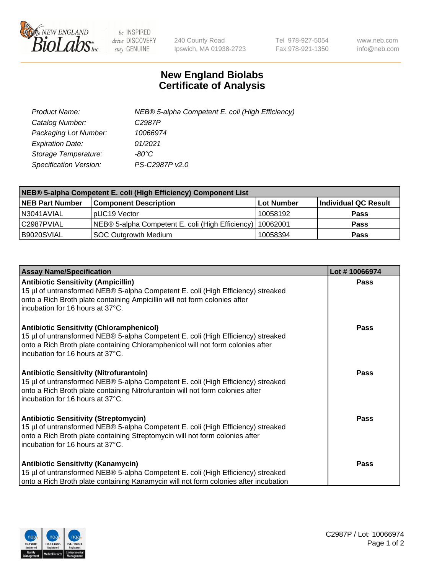

 $be$  INSPIRED drive DISCOVERY stay GENUINE

240 County Road Ipswich, MA 01938-2723 Tel 978-927-5054 Fax 978-921-1350 www.neb.com info@neb.com

## **New England Biolabs Certificate of Analysis**

| Product Name:                 | NEB® 5-alpha Competent E. coli (High Efficiency) |
|-------------------------------|--------------------------------------------------|
| Catalog Number:               | C <sub>2987</sub> P                              |
| Packaging Lot Number:         | 10066974                                         |
| <b>Expiration Date:</b>       | 01/2021                                          |
| Storage Temperature:          | -80°C                                            |
| <b>Specification Version:</b> | PS-C2987P v2.0                                   |

| NEB® 5-alpha Competent E. coli (High Efficiency) Component List |                                                             |            |                      |  |
|-----------------------------------------------------------------|-------------------------------------------------------------|------------|----------------------|--|
| <b>NEB Part Number</b>                                          | <b>Component Description</b>                                | Lot Number | Individual QC Result |  |
| N3041AVIAL                                                      | pUC19 Vector                                                | 10058192   | <b>Pass</b>          |  |
| C2987PVIAL                                                      | NEB® 5-alpha Competent E. coli (High Efficiency)   10062001 |            | <b>Pass</b>          |  |
| B9020SVIAL                                                      | <b>SOC Outgrowth Medium</b>                                 | 10058394   | <b>Pass</b>          |  |

| <b>Assay Name/Specification</b>                                                                                                                                                                                                                            | Lot #10066974 |
|------------------------------------------------------------------------------------------------------------------------------------------------------------------------------------------------------------------------------------------------------------|---------------|
| <b>Antibiotic Sensitivity (Ampicillin)</b><br>15 µl of untransformed NEB® 5-alpha Competent E. coli (High Efficiency) streaked<br>onto a Rich Broth plate containing Ampicillin will not form colonies after<br>incubation for 16 hours at 37°C.           | <b>Pass</b>   |
| <b>Antibiotic Sensitivity (Chloramphenicol)</b><br>15 µl of untransformed NEB® 5-alpha Competent E. coli (High Efficiency) streaked<br>onto a Rich Broth plate containing Chloramphenicol will not form colonies after<br>incubation for 16 hours at 37°C. | <b>Pass</b>   |
| <b>Antibiotic Sensitivity (Nitrofurantoin)</b><br>15 µl of untransformed NEB® 5-alpha Competent E. coli (High Efficiency) streaked<br>onto a Rich Broth plate containing Nitrofurantoin will not form colonies after<br>incubation for 16 hours at 37°C.   | Pass          |
| <b>Antibiotic Sensitivity (Streptomycin)</b><br>15 µl of untransformed NEB® 5-alpha Competent E. coli (High Efficiency) streaked<br>onto a Rich Broth plate containing Streptomycin will not form colonies after<br>incubation for 16 hours at 37°C.       | Pass          |
| <b>Antibiotic Sensitivity (Kanamycin)</b><br>15 µl of untransformed NEB® 5-alpha Competent E. coli (High Efficiency) streaked<br>onto a Rich Broth plate containing Kanamycin will not form colonies after incubation                                      | Pass          |